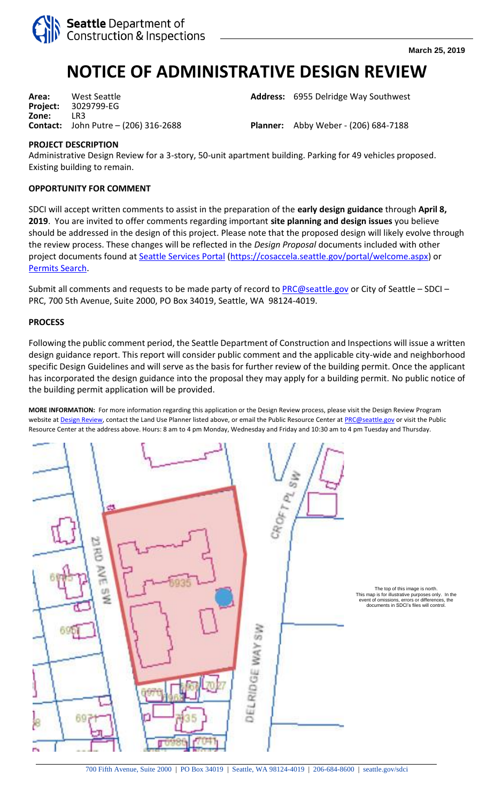

## **NOTICE OF ADMINISTRATIVE DESIGN REVIEW**

**Project:** 3029799-EG **Zone:** LR3<br>**Contact:** John Putre – (206) 316-2688

Area: West Seattle **Address:** 6955 Delridge Way Southwest

**Planner:** Abby Weber - (206) 684-7188

## **PROJECT DESCRIPTION**

Administrative Design Review for a 3-story, 50-unit apartment building. Parking for 49 vehicles proposed. Existing building to remain.

## **OPPORTUNITY FOR COMMENT**

SDCI will accept written comments to assist in the preparation of the **early design guidance** through **April 8, 2019**. You are invited to offer comments regarding important **site planning and design issues** you believe should be addressed in the design of this project. Please note that the proposed design will likely evolve through the review process. These changes will be reflected in the *Design Proposal* documents included with other project documents found at [Seattle Services Portal](https://cosaccela.seattle.gov/portal/welcome.aspx) [\(https://cosaccela.seattle.gov/portal/welcome.aspx\)](https://cosaccela.seattle.gov/portal/welcome.aspx) or [Permits Search.](https://cosaccela.seattle.gov/portal/Cap/CapHome.aspx?module=DPDPermits&TabName=DPDPermits)

Submit all comments and requests to be made party of record to  $PRC@{seattle.gov}$  or City of Seattle – SDCI – PRC, 700 5th Avenue, Suite 2000, PO Box 34019, Seattle, WA 98124-4019.

## **PROCESS**

Following the public comment period, the Seattle Department of Construction and Inspections will issue a written design guidance report. This report will consider public comment and the applicable city-wide and neighborhood specific Design Guidelines and will serve as the basis for further review of the building permit. Once the applicant has incorporated the design guidance into the proposal they may apply for a building permit. No public notice of the building permit application will be provided.

**MORE INFORMATION:** For more information regarding this application or the Design Review process, please visit the Design Review Program website at [Design Review,](http://www.seattle.gov/DPD/aboutus/whoweare/designreview/program/) contact the Land Use Planner listed above, or email the Public Resource Center a[t PRC@seattle.gov](mailto:PRC@seattle.gov) or visit the Public Resource Center at the address above. Hours: 8 am to 4 pm Monday, Wednesday and Friday and 10:30 am to 4 pm Tuesday and Thursday.